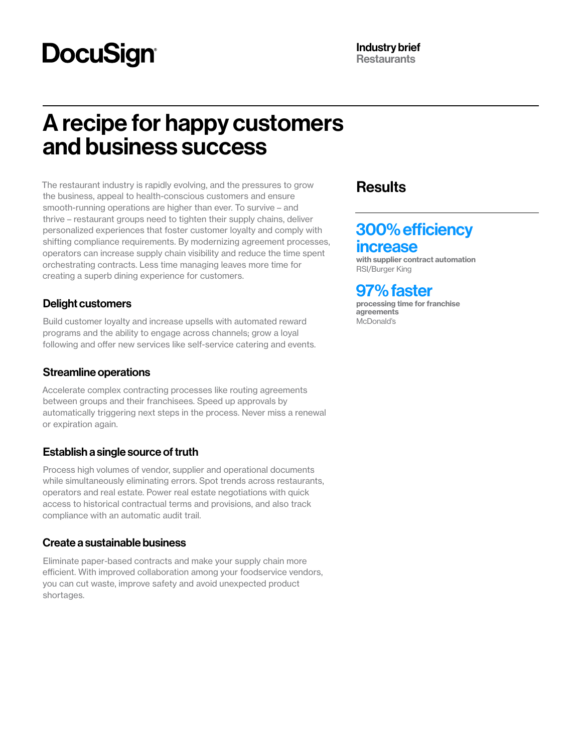# **DocuSign®**

## A recipe for happy customers and business success

The restaurant industry is rapidly evolving, and the pressures to grow the business, appeal to health-conscious customers and ensure smooth-running operations are higher than ever. To survive – and thrive – restaurant groups need to tighten their supply chains, deliver personalized experiences that foster customer loyalty and comply with shifting compliance requirements. By modernizing agreement processes, operators can increase supply chain visibility and reduce the time spent orchestrating contracts. Less time managing leaves more time for creating a superb dining experience for customers.

## Delight customers

Build customer loyalty and increase upsells with automated reward programs and the ability to engage across channels; grow a loyal following and offer new services like self-service catering and events.

## Streamline operations

Accelerate complex contracting processes like routing agreements between groups and their franchisees. Speed up approvals by automatically triggering next steps in the process. Never miss a renewal or expiration again.

## Establish a single source of truth

Process high volumes of vendor, supplier and operational documents while simultaneously eliminating errors. Spot trends across restaurants, operators and real estate. Power real estate negotiations with quick access to historical contractual terms and provisions, and also track compliance with an automatic audit trail.

## Create a sustainable business

Eliminate paper-based contracts and make your supply chain more efficient. With improved collaboration among your foodservice vendors, you can cut waste, improve safety and avoid unexpected product shortages.

## **Results**

## 300% efficiency increase

with supplier contract automation RSI/Burger King

## 97% faster

processing time for franchise **agreements** McDonald's